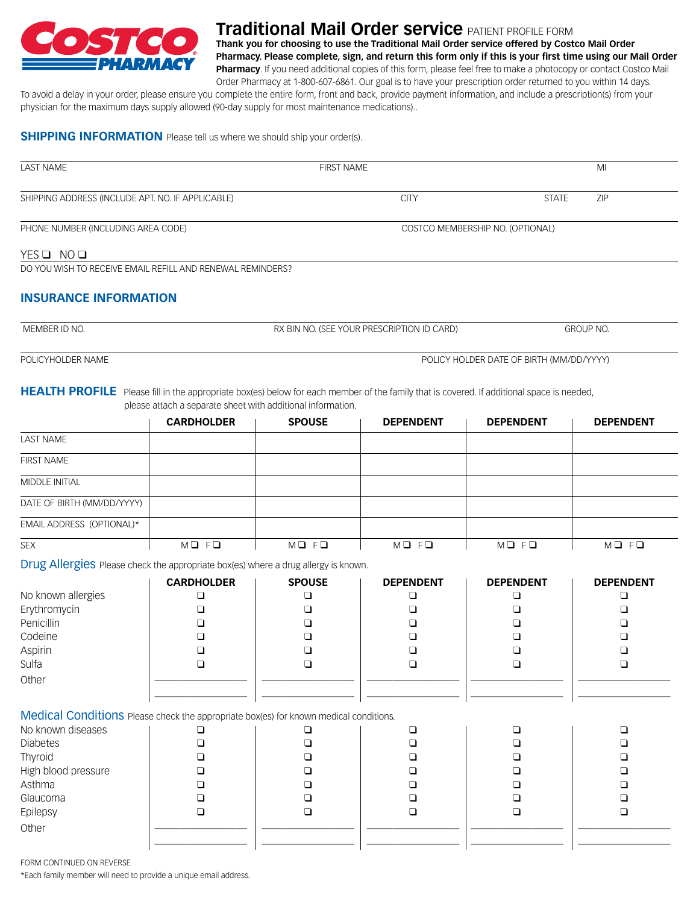

# **Traditional Mail Order service** patient profile form

**Thank you for choosing to use the Traditional Mail Order service offered by Costco Mail Order Pharmacy. Please complete, sign, and return this form only if this is your first time using our Mail Order Pharmacy**. If you need additional copies of this form, please feel free to make a photocopy or contact Costco Mail

Order Pharmacy at 1-800-607-6861. Our goal is to have your prescription order returned to you within 14 days. To avoid a delay in your order, please ensure you complete the entire form, front and back, provide payment information, and include a prescription(s) from your physician for the maximum days supply allowed (90-day supply for most maintenance medications)..

### **SHIPPING INFORMATION** Please tell us where we should ship your order(s).

| <b>LAST NAME</b>                                                       | <b>FIRST NAME</b> | MI                               |  |  |
|------------------------------------------------------------------------|-------------------|----------------------------------|--|--|
| SHIPPING ADDRESS (INCLUDE APT. NO. IF APPLICABLE)                      | <b>CITY</b>       | <b>STATE</b><br><b>ZIP</b>       |  |  |
| PHONE NUMBER (INCLUDING AREA CODE)                                     |                   | COSTCO MEMBERSHIP NO. (OPTIONAL) |  |  |
| YESQ NOQ<br>DO YOU WISH TO RECEIVE EMAIL REFILL AND RENEWAL REMINDERS? |                   |                                  |  |  |

### **Insurance information**

| MEMBER ID NO. | RX BIN NO. (SEE YOUR PRESCRIPTION ID CARD) | <b>GROUP NO.</b> |
|---------------|--------------------------------------------|------------------|
|               |                                            |                  |
|               |                                            |                  |

POLICYHOLDER NAME **POLICY HOLDER DATE OF BIRTH (MM/DD/YYYY)** 

### HEALTH PROFILE Please fill in the appropriate box(es) below for each member of the family that is covered. If additional space is needed, please attach a separate sheet with additional information.

|                            | <b>CARDHOLDER</b> | <b>SPOUSE</b> | <b>DEPENDENT</b> | <b>DEPENDENT</b>        | <b>DEPENDENT</b> |
|----------------------------|-------------------|---------------|------------------|-------------------------|------------------|
| <b>LAST NAME</b>           |                   |               |                  |                         |                  |
| <b>FIRST NAME</b>          |                   |               |                  |                         |                  |
| <b>MIDDLE INITIAL</b>      |                   |               |                  |                         |                  |
| DATE OF BIRTH (MM/DD/YYYY) |                   |               |                  |                         |                  |
| EMAIL ADDRESS (OPTIONAL)*  |                   |               |                  |                         |                  |
| <b>SEX</b>                 | $MQ$ $FQ$         | $MD$ $FD$     | $MQ$ $FQ$        | $M \square$ $F \square$ | MQ FQ            |

Drug Allergies Please check the appropriate box(es) where a drug allergy is known.

|                                                                                       | <b>CARDHOLDER</b> | <b>SPOUSE</b> | <b>DEPENDENT</b> | <b>DEPENDENT</b> | <b>DEPENDENT</b> |
|---------------------------------------------------------------------------------------|-------------------|---------------|------------------|------------------|------------------|
| No known allergies                                                                    |                   |               |                  |                  |                  |
| Erythromycin                                                                          |                   |               |                  |                  |                  |
| Penicillin                                                                            |                   |               |                  |                  |                  |
| Codeine                                                                               |                   |               |                  |                  |                  |
| Aspirin                                                                               |                   |               |                  |                  |                  |
| Sulfa                                                                                 |                   |               |                  |                  |                  |
| Other                                                                                 |                   |               |                  |                  |                  |
|                                                                                       |                   |               |                  |                  |                  |
| Medical Conditions Please check the appropriate box(es) for known medical conditions. |                   |               |                  |                  |                  |

| No known diseases   |  |  |  |
|---------------------|--|--|--|
| <b>Diabetes</b>     |  |  |  |
| Thyroid             |  |  |  |
| High blood pressure |  |  |  |
| Asthma              |  |  |  |
| Glaucoma            |  |  |  |
| Epilepsy            |  |  |  |
| Other               |  |  |  |
|                     |  |  |  |
|                     |  |  |  |

FORM CONTINUED ON REVERSE

\*Each family member will need to provide a unique email address.